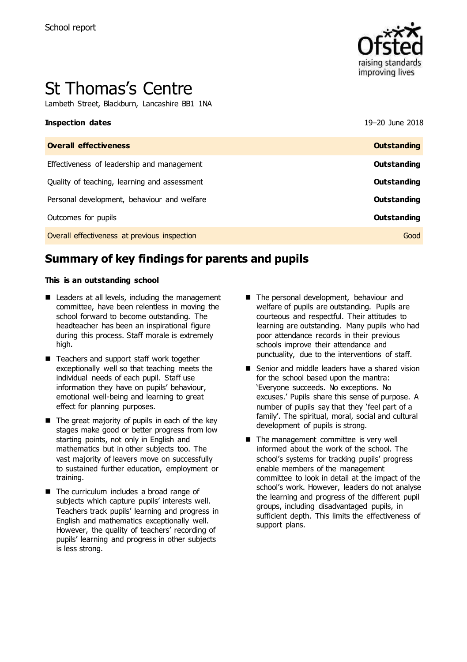

# St Thomas's Centre

Lambeth Street, Blackburn, Lancashire BB1 1NA

| 19-20 June 2018    |
|--------------------|
| <b>Outstanding</b> |
| <b>Outstanding</b> |
| Outstanding        |
| Outstanding        |
| <b>Outstanding</b> |
| Good               |
|                    |

# **Summary of key findings for parents and pupils**

#### **This is an outstanding school**

- Leaders at all levels, including the management committee, have been relentless in moving the school forward to become outstanding. The headteacher has been an inspirational figure during this process. Staff morale is extremely high.
- Teachers and support staff work together exceptionally well so that teaching meets the individual needs of each pupil. Staff use information they have on pupils' behaviour, emotional well-being and learning to great effect for planning purposes.
- The great majority of pupils in each of the key stages make good or better progress from low starting points, not only in English and mathematics but in other subjects too. The vast majority of leavers move on successfully to sustained further education, employment or training.
- The curriculum includes a broad range of subjects which capture pupils' interests well. Teachers track pupils' learning and progress in English and mathematics exceptionally well. However, the quality of teachers' recording of pupils' learning and progress in other subjects is less strong.
- The personal development, behaviour and welfare of pupils are outstanding. Pupils are courteous and respectful. Their attitudes to learning are outstanding. Many pupils who had poor attendance records in their previous schools improve their attendance and punctuality, due to the interventions of staff.
- Senior and middle leaders have a shared vision for the school based upon the mantra: 'Everyone succeeds. No exceptions. No excuses.' Pupils share this sense of purpose. A number of pupils say that they 'feel part of a family'. The spiritual, moral, social and cultural development of pupils is strong.
- The management committee is very well informed about the work of the school. The school's systems for tracking pupils' progress enable members of the management committee to look in detail at the impact of the school's work. However, leaders do not analyse the learning and progress of the different pupil groups, including disadvantaged pupils, in sufficient depth. This limits the effectiveness of support plans.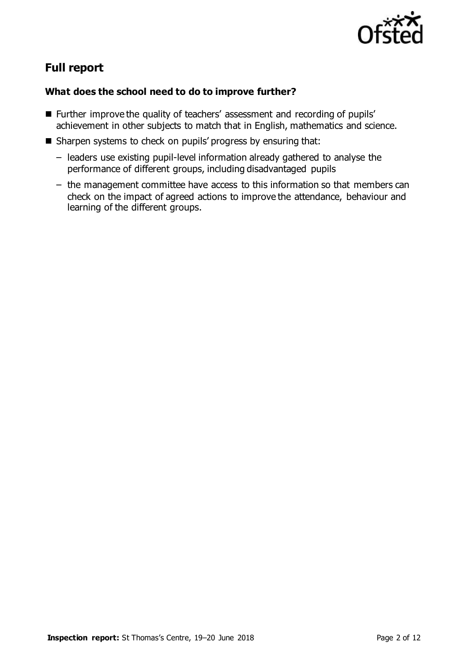

# **Full report**

### **What does the school need to do to improve further?**

- **Further improve the quality of teachers' assessment and recording of pupils'** achievement in other subjects to match that in English, mathematics and science.
- Sharpen systems to check on pupils' progress by ensuring that:
	- leaders use existing pupil-level information already gathered to analyse the performance of different groups, including disadvantaged pupils
	- the management committee have access to this information so that members can check on the impact of agreed actions to improve the attendance, behaviour and learning of the different groups.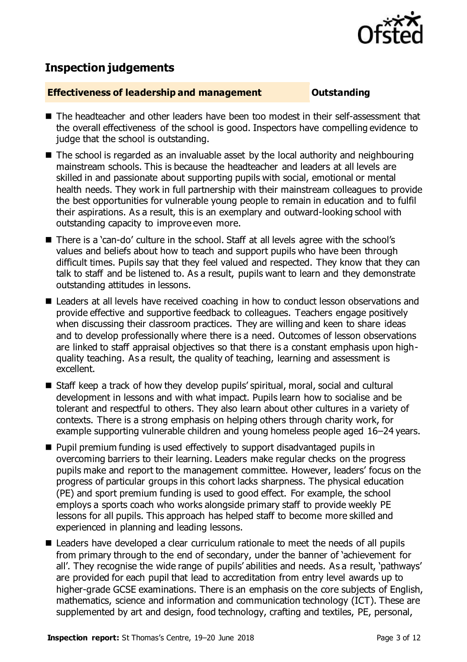

# **Inspection judgements**

#### **Effectiveness of leadership and management Cultum Outstanding**

- The headteacher and other leaders have been too modest in their self-assessment that the overall effectiveness of the school is good. Inspectors have compelling evidence to judge that the school is outstanding.
- The school is regarded as an invaluable asset by the local authority and neighbouring mainstream schools. This is because the headteacher and leaders at all levels are skilled in and passionate about supporting pupils with social, emotional or mental health needs. They work in full partnership with their mainstream colleagues to provide the best opportunities for vulnerable young people to remain in education and to fulfil their aspirations. As a result, this is an exemplary and outward-looking school with outstanding capacity to improve even more.
- There is a 'can-do' culture in the school. Staff at all levels agree with the school's values and beliefs about how to teach and support pupils who have been through difficult times. Pupils say that they feel valued and respected. They know that they can talk to staff and be listened to. As a result, pupils want to learn and they demonstrate outstanding attitudes in lessons.
- Leaders at all levels have received coaching in how to conduct lesson observations and provide effective and supportive feedback to colleagues. Teachers engage positively when discussing their classroom practices. They are willing and keen to share ideas and to develop professionally where there is a need. Outcomes of lesson observations are linked to staff appraisal objectives so that there is a constant emphasis upon highquality teaching. As a result, the quality of teaching, learning and assessment is excellent.
- Staff keep a track of how they develop pupils' spiritual, moral, social and cultural development in lessons and with what impact. Pupils learn how to socialise and be tolerant and respectful to others. They also learn about other cultures in a variety of contexts. There is a strong emphasis on helping others through charity work, for example supporting vulnerable children and young homeless people aged 16–24 years.
- **Pupil premium funding is used effectively to support disadvantaged pupils in** overcoming barriers to their learning. Leaders make regular checks on the progress pupils make and report to the management committee. However, leaders' focus on the progress of particular groups in this cohort lacks sharpness. The physical education (PE) and sport premium funding is used to good effect. For example, the school employs a sports coach who works alongside primary staff to provide weekly PE lessons for all pupils. This approach has helped staff to become more skilled and experienced in planning and leading lessons.
- Leaders have developed a clear curriculum rationale to meet the needs of all pupils from primary through to the end of secondary, under the banner of 'achievement for all'. They recognise the wide range of pupils' abilities and needs. As a result, 'pathways' are provided for each pupil that lead to accreditation from entry level awards up to higher-grade GCSE examinations. There is an emphasis on the core subjects of English, mathematics, science and information and communication technology (ICT). These are supplemented by art and design, food technology, crafting and textiles, PE, personal,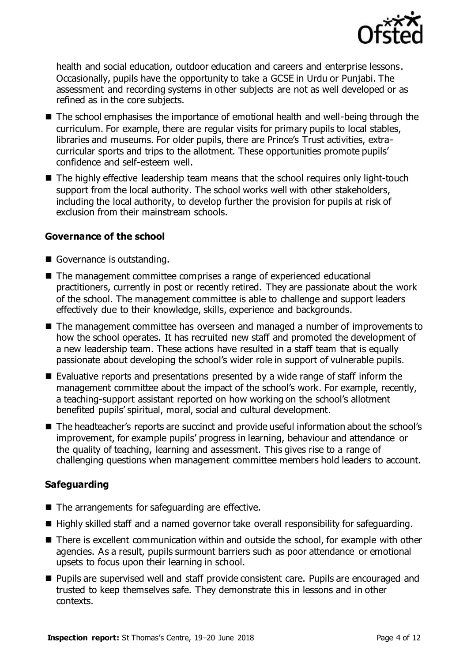

health and social education, outdoor education and careers and enterprise lessons. Occasionally, pupils have the opportunity to take a GCSE in Urdu or Punjabi. The assessment and recording systems in other subjects are not as well developed or as refined as in the core subjects.

- The school emphasises the importance of emotional health and well-being through the curriculum. For example, there are regular visits for primary pupils to local stables, libraries and museums. For older pupils, there are Prince's Trust activities, extracurricular sports and trips to the allotment. These opportunities promote pupils' confidence and self-esteem well.
- The highly effective leadership team means that the school requires only light-touch support from the local authority. The school works well with other stakeholders, including the local authority, to develop further the provision for pupils at risk of exclusion from their mainstream schools.

#### **Governance of the school**

- Governance is outstanding.
- The management committee comprises a range of experienced educational practitioners, currently in post or recently retired. They are passionate about the work of the school. The management committee is able to challenge and support leaders effectively due to their knowledge, skills, experience and backgrounds.
- The management committee has overseen and managed a number of improvements to how the school operates. It has recruited new staff and promoted the development of a new leadership team. These actions have resulted in a staff team that is equally passionate about developing the school's wider role in support of vulnerable pupils.
- $\blacksquare$  Evaluative reports and presentations presented by a wide range of staff inform the management committee about the impact of the school's work. For example, recently, a teaching-support assistant reported on how working on the school's allotment benefited pupils' spiritual, moral, social and cultural development.
- The headteacher's reports are succinct and provide useful information about the school's improvement, for example pupils' progress in learning, behaviour and attendance or the quality of teaching, learning and assessment. This gives rise to a range of challenging questions when management committee members hold leaders to account.

#### **Safeguarding**

- The arrangements for safeguarding are effective.
- Highly skilled staff and a named governor take overall responsibility for safeguarding.
- There is excellent communication within and outside the school, for example with other agencies. As a result, pupils surmount barriers such as poor attendance or emotional upsets to focus upon their learning in school.
- **Pupils are supervised well and staff provide consistent care. Pupils are encouraged and** trusted to keep themselves safe. They demonstrate this in lessons and in other contexts.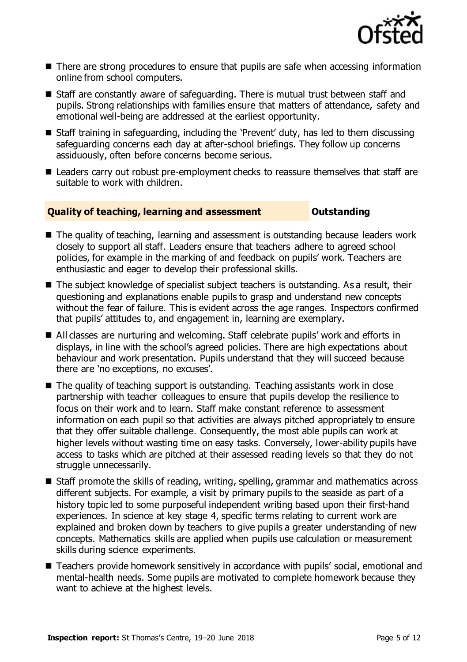

- There are strong procedures to ensure that pupils are safe when accessing information online from school computers.
- Staff are constantly aware of safeguarding. There is mutual trust between staff and pupils. Strong relationships with families ensure that matters of attendance, safety and emotional well-being are addressed at the earliest opportunity.
- Staff training in safeguarding, including the 'Prevent' duty, has led to them discussing safeguarding concerns each day at after-school briefings. They follow up concerns assiduously, often before concerns become serious.
- Leaders carry out robust pre-employment checks to reassure themselves that staff are suitable to work with children.

### **Quality of teaching, learning and assessment Outstanding**

- The quality of teaching, learning and assessment is outstanding because leaders work closely to support all staff. Leaders ensure that teachers adhere to agreed school policies, for example in the marking of and feedback on pupils' work. Teachers are enthusiastic and eager to develop their professional skills.
- The subject knowledge of specialist subject teachers is outstanding. As a result, their questioning and explanations enable pupils to grasp and understand new concepts without the fear of failure. This is evident across the age ranges. Inspectors confirmed that pupils' attitudes to, and engagement in, learning are exemplary.
- All classes are nurturing and welcoming. Staff celebrate pupils' work and efforts in displays, in line with the school's agreed policies. There are high expectations about behaviour and work presentation. Pupils understand that they will succeed because there are 'no exceptions, no excuses'.
- The quality of teaching support is outstanding. Teaching assistants work in close partnership with teacher colleagues to ensure that pupils develop the resilience to focus on their work and to learn. Staff make constant reference to assessment information on each pupil so that activities are always pitched appropriately to ensure that they offer suitable challenge. Consequently, the most able pupils can work at higher levels without wasting time on easy tasks. Conversely, lower-ability pupils have access to tasks which are pitched at their assessed reading levels so that they do not struggle unnecessarily.
- Staff promote the skills of reading, writing, spelling, grammar and mathematics across different subjects. For example, a visit by primary pupils to the seaside as part of a history topic led to some purposeful independent writing based upon their first-hand experiences. In science at key stage 4, specific terms relating to current work are explained and broken down by teachers to give pupils a greater understanding of new concepts. Mathematics skills are applied when pupils use calculation or measurement skills during science experiments.
- Teachers provide homework sensitively in accordance with pupils' social, emotional and mental-health needs. Some pupils are motivated to complete homework because they want to achieve at the highest levels.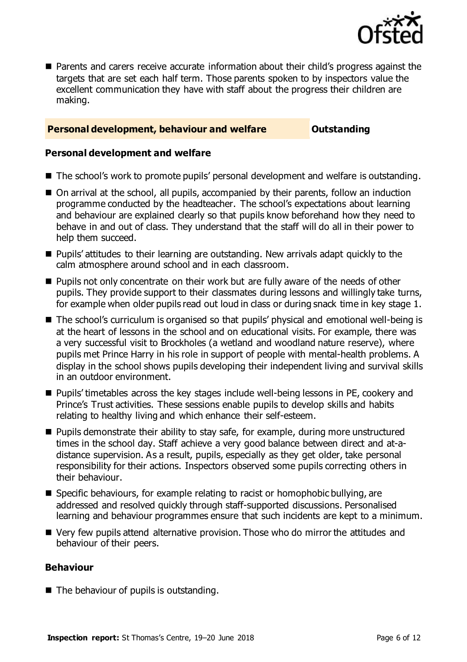

 Parents and carers receive accurate information about their child's progress against the targets that are set each half term. Those parents spoken to by inspectors value the excellent communication they have with staff about the progress their children are making.

#### **Personal development, behaviour and welfare <b>COU COUTS** Outstanding

#### **Personal development and welfare**

- The school's work to promote pupils' personal development and welfare is outstanding.
- On arrival at the school, all pupils, accompanied by their parents, follow an induction programme conducted by the headteacher. The school's expectations about learning and behaviour are explained clearly so that pupils know beforehand how they need to behave in and out of class. They understand that the staff will do all in their power to help them succeed.
- Pupils' attitudes to their learning are outstanding. New arrivals adapt quickly to the calm atmosphere around school and in each classroom.
- **Pupils not only concentrate on their work but are fully aware of the needs of other** pupils. They provide support to their classmates during lessons and willingly take turns, for example when older pupils read out loud in class or during snack time in key stage 1.
- The school's curriculum is organised so that pupils' physical and emotional well-being is at the heart of lessons in the school and on educational visits. For example, there was a very successful visit to Brockholes (a wetland and woodland nature reserve), where pupils met Prince Harry in his role in support of people with mental-health problems. A display in the school shows pupils developing their independent living and survival skills in an outdoor environment.
- Pupils' timetables across the key stages include well-being lessons in PE, cookery and Prince's Trust activities. These sessions enable pupils to develop skills and habits relating to healthy living and which enhance their self-esteem.
- **Pupils demonstrate their ability to stay safe, for example, during more unstructured** times in the school day. Staff achieve a very good balance between direct and at-adistance supervision. As a result, pupils, especially as they get older, take personal responsibility for their actions. Inspectors observed some pupils correcting others in their behaviour.
- Specific behaviours, for example relating to racist or homophobic bullying, are addressed and resolved quickly through staff-supported discussions. Personalised learning and behaviour programmes ensure that such incidents are kept to a minimum.
- Very few pupils attend alternative provision. Those who do mirror the attitudes and behaviour of their peers.

#### **Behaviour**

The behaviour of pupils is outstanding.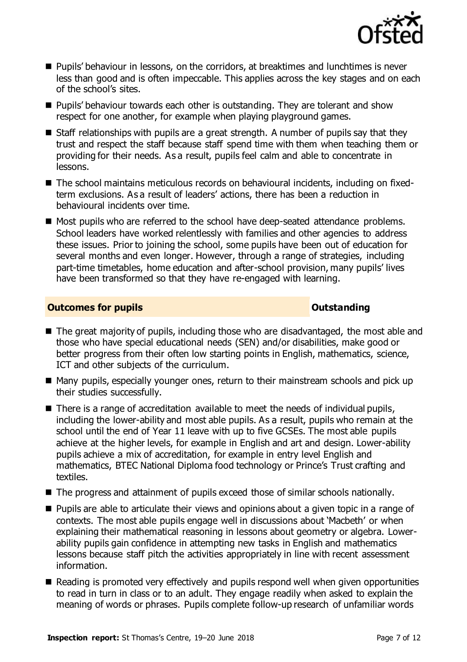

- **Pupils' behaviour in lessons, on the corridors, at breaktimes and lunchtimes is never** less than good and is often impeccable. This applies across the key stages and on each of the school's sites.
- **Pupils' behaviour towards each other is outstanding. They are tolerant and show** respect for one another, for example when playing playground games.
- Staff relationships with pupils are a great strength. A number of pupils say that they trust and respect the staff because staff spend time with them when teaching them or providing for their needs. As a result, pupils feel calm and able to concentrate in lessons.
- The school maintains meticulous records on behavioural incidents, including on fixedterm exclusions. As a result of leaders' actions, there has been a reduction in behavioural incidents over time.
- Most pupils who are referred to the school have deep-seated attendance problems. School leaders have worked relentlessly with families and other agencies to address these issues. Prior to joining the school, some pupils have been out of education for several months and even longer. However, through a range of strategies, including part-time timetables, home education and after-school provision, many pupils' lives have been transformed so that they have re-engaged with learning.

#### **Outcomes for pupils Outstanding**

- The great majority of pupils, including those who are disadvantaged, the most able and those who have special educational needs (SEN) and/or disabilities, make good or better progress from their often low starting points in English, mathematics, science, ICT and other subjects of the curriculum.
- Many pupils, especially younger ones, return to their mainstream schools and pick up their studies successfully.
- There is a range of accreditation available to meet the needs of individual pupils, including the lower-ability and most able pupils. As a result, pupils who remain at the school until the end of Year 11 leave with up to five GCSEs. The most able pupils achieve at the higher levels, for example in English and art and design. Lower-ability pupils achieve a mix of accreditation, for example in entry level English and mathematics, BTEC National Diploma food technology or Prince's Trust crafting and textiles.
- The progress and attainment of pupils exceed those of similar schools nationally.
- **Pupils are able to articulate their views and opinions about a given topic in a range of** contexts. The most able pupils engage well in discussions about 'Macbeth' or when explaining their mathematical reasoning in lessons about geometry or algebra. Lowerability pupils gain confidence in attempting new tasks in English and mathematics lessons because staff pitch the activities appropriately in line with recent assessment information.
- Reading is promoted very effectively and pupils respond well when given opportunities to read in turn in class or to an adult. They engage readily when asked to explain the meaning of words or phrases. Pupils complete follow-up research of unfamiliar words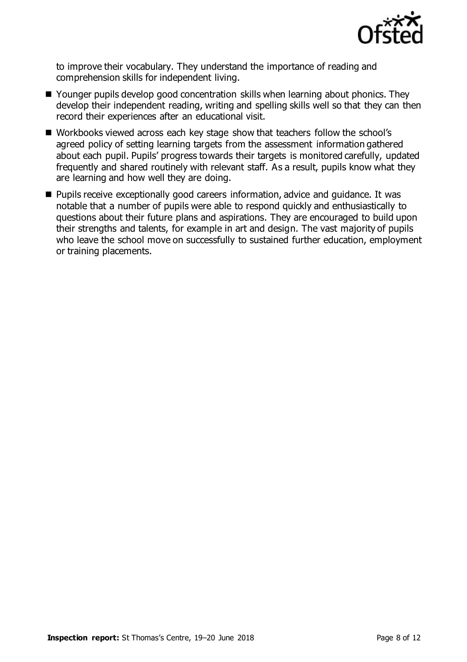

to improve their vocabulary. They understand the importance of reading and comprehension skills for independent living.

- Younger pupils develop good concentration skills when learning about phonics. They develop their independent reading, writing and spelling skills well so that they can then record their experiences after an educational visit.
- Workbooks viewed across each key stage show that teachers follow the school's agreed policy of setting learning targets from the assessment information gathered about each pupil. Pupils' progress towards their targets is monitored carefully, updated frequently and shared routinely with relevant staff. As a result, pupils know what they are learning and how well they are doing.
- **Pupils receive exceptionally good careers information, advice and guidance. It was** notable that a number of pupils were able to respond quickly and enthusiastically to questions about their future plans and aspirations. They are encouraged to build upon their strengths and talents, for example in art and design. The vast majority of pupils who leave the school move on successfully to sustained further education, employment or training placements.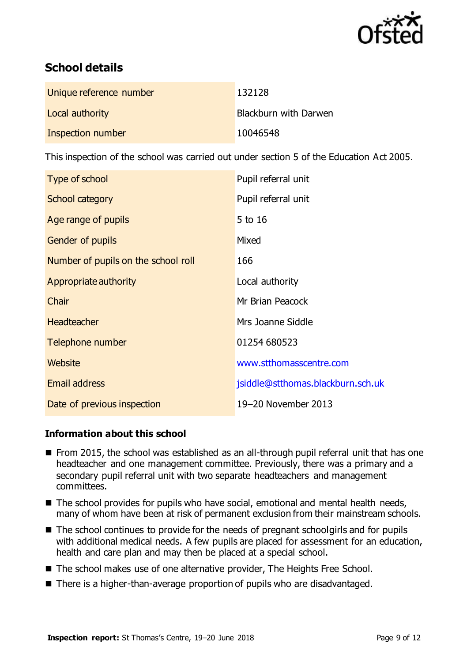

# **School details**

| Unique reference number | 132128                |
|-------------------------|-----------------------|
| Local authority         | Blackburn with Darwen |
| Inspection number       | 10046548              |

This inspection of the school was carried out under section 5 of the Education Act 2005.

| Type of school                      | Pupil referral unit               |
|-------------------------------------|-----------------------------------|
| <b>School category</b>              | Pupil referral unit               |
| Age range of pupils                 | $5$ to 16                         |
| Gender of pupils                    | Mixed                             |
| Number of pupils on the school roll | 166                               |
| Appropriate authority               | Local authority                   |
| Chair                               | Mr Brian Peacock                  |
| <b>Headteacher</b>                  | Mrs Joanne Siddle                 |
| Telephone number                    | 01254 680523                      |
| Website                             | www.stthomasscentre.com           |
| <b>Email address</b>                | jsiddle@stthomas.blackburn.sch.uk |
| Date of previous inspection         | 19-20 November 2013               |

### **Information about this school**

- From 2015, the school was established as an all-through pupil referral unit that has one headteacher and one management committee. Previously, there was a primary and a secondary pupil referral unit with two separate headteachers and management committees.
- The school provides for pupils who have social, emotional and mental health needs, many of whom have been at risk of permanent exclusion from their mainstream schools.
- The school continues to provide for the needs of pregnant schoolgirls and for pupils with additional medical needs. A few pupils are placed for assessment for an education, health and care plan and may then be placed at a special school.
- The school makes use of one alternative provider, The Heights Free School.
- There is a higher-than-average proportion of pupils who are disadvantaged.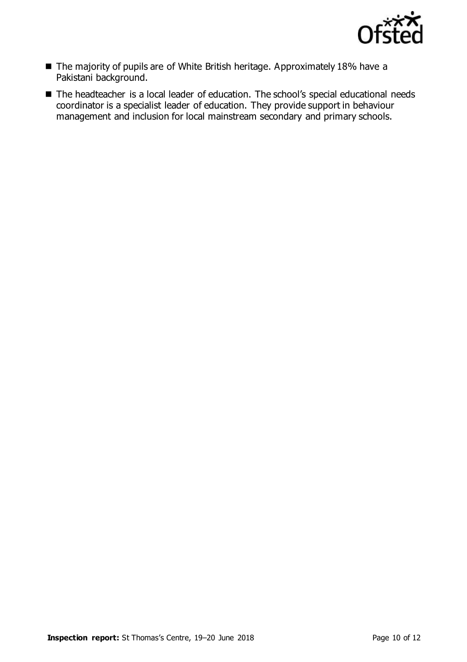

- The majority of pupils are of White British heritage. Approximately 18% have a Pakistani background.
- The headteacher is a local leader of education. The school's special educational needs coordinator is a specialist leader of education. They provide support in behaviour management and inclusion for local mainstream secondary and primary schools.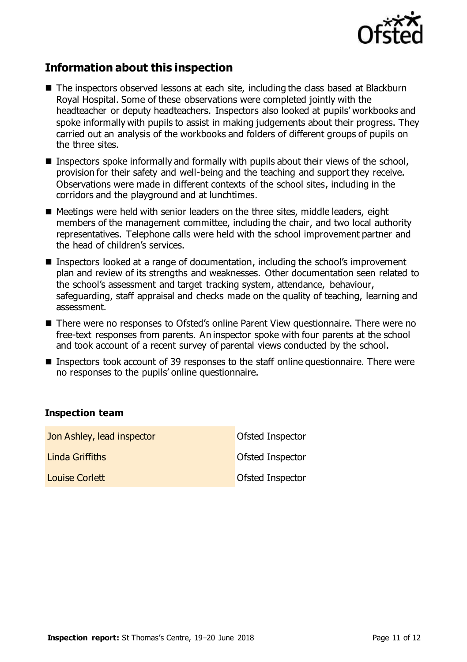

## **Information about this inspection**

- The inspectors observed lessons at each site, including the class based at Blackburn Royal Hospital. Some of these observations were completed jointly with the headteacher or deputy headteachers. Inspectors also looked at pupils' workbooks and spoke informally with pupils to assist in making judgements about their progress. They carried out an analysis of the workbooks and folders of different groups of pupils on the three sites.
- Inspectors spoke informally and formally with pupils about their views of the school, provision for their safety and well-being and the teaching and support they receive. Observations were made in different contexts of the school sites, including in the corridors and the playground and at lunchtimes.
- $\blacksquare$  Meetings were held with senior leaders on the three sites, middle leaders, eight members of the management committee, including the chair, and two local authority representatives. Telephone calls were held with the school improvement partner and the head of children's services.
- **Inspectors looked at a range of documentation, including the school's improvement** plan and review of its strengths and weaknesses. Other documentation seen related to the school's assessment and target tracking system, attendance, behaviour, safeguarding, staff appraisal and checks made on the quality of teaching, learning and assessment.
- There were no responses to Ofsted's online Parent View questionnaire. There were no free-text responses from parents. An inspector spoke with four parents at the school and took account of a recent survey of parental views conducted by the school.
- Inspectors took account of 39 responses to the staff online questionnaire. There were no responses to the pupils' online questionnaire.

#### **Inspection team**

| Jon Ashley, lead inspector | Ofsted Inspector |
|----------------------------|------------------|
| Linda Griffiths            | Ofsted Inspector |
| <b>Louise Corlett</b>      | Ofsted Inspector |